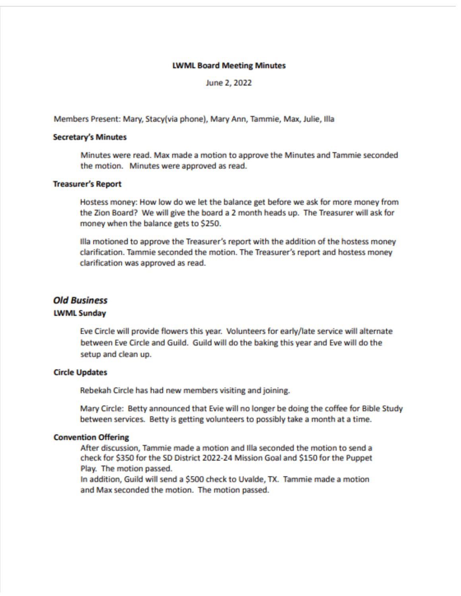### **LWML Board Meeting Minutes**

June 2, 2022

Members Present: Mary, Stacy(via phone), Mary Ann, Tammie, Max, Julie, Illa

### **Secretary's Minutes**

Minutes were read. Max made a motion to approve the Minutes and Tammie seconded the motion. Minutes were approved as read.

### **Treasurer's Report**

Hostess money: How low do we let the balance get before we ask for more money from the Zion Board? We will give the board a 2 month heads up. The Treasurer will ask for money when the balance gets to \$250.

Illa motioned to approve the Treasurer's report with the addition of the hostess money clarification. Tammie seconded the motion. The Treasurer's report and hostess money clarification was approved as read.

# **Old Business**

### **LWML Sunday**

Eve Circle will provide flowers this year. Volunteers for early/late service will alternate between Eve Circle and Guild. Guild will do the baking this year and Eve will do the setup and clean up.

# **Circle Updates**

Rebekah Circle has had new members visiting and joining.

Mary Circle: Betty announced that Evie will no longer be doing the coffee for Bible Study between services. Betty is getting volunteers to possibly take a month at a time.

### **Convention Offering**

After discussion, Tammie made a motion and Illa seconded the motion to send a check for \$350 for the SD District 2022-24 Mission Goal and \$150 for the Puppet Play. The motion passed.

In addition, Guild will send a \$500 check to Uvalde, TX. Tammie made a motion and Max seconded the motion. The motion passed.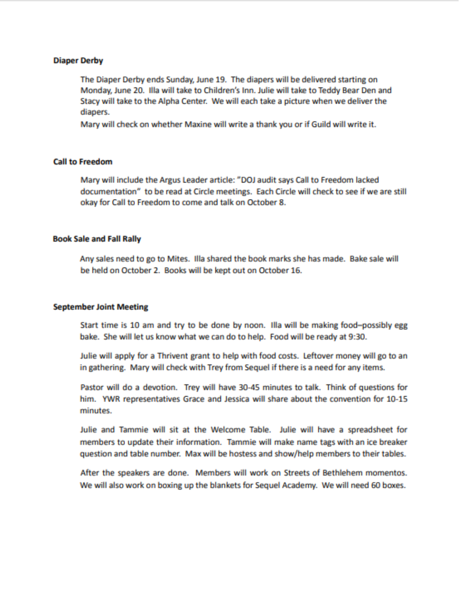### **Diaper Derby**

The Diaper Derby ends Sunday, June 19. The diapers will be delivered starting on Monday, June 20. Illa will take to Children's Inn. Julie will take to Teddy Bear Den and Stacy will take to the Alpha Center. We will each take a picture when we deliver the diapers.

Mary will check on whether Maxine will write a thank you or if Guild will write it.

### **Call to Freedom**

Mary will include the Argus Leader article: "DOJ audit says Call to Freedom lacked documentation" to be read at Circle meetings. Each Circle will check to see if we are still okay for Call to Freedom to come and talk on October 8.

### **Book Sale and Fall Rally**

Any sales need to go to Mites. Illa shared the book marks she has made. Bake sale will be held on October 2. Books will be kept out on October 16.

### **September Joint Meeting**

Start time is 10 am and try to be done by noon. Illa will be making food-possibly egg bake. She will let us know what we can do to help. Food will be ready at 9:30.

Julie will apply for a Thrivent grant to help with food costs. Leftover money will go to an in gathering. Mary will check with Trey from Sequel if there is a need for any items.

Pastor will do a devotion. Trey will have 30-45 minutes to talk. Think of questions for him. YWR representatives Grace and Jessica will share about the convention for 10-15 minutes.

Julie and Tammie will sit at the Welcome Table. Julie will have a spreadsheet for members to update their information. Tammie will make name tags with an ice breaker question and table number. Max will be hostess and show/help members to their tables.

After the speakers are done. Members will work on Streets of Bethlehem momentos. We will also work on boxing up the blankets for Sequel Academy. We will need 60 boxes.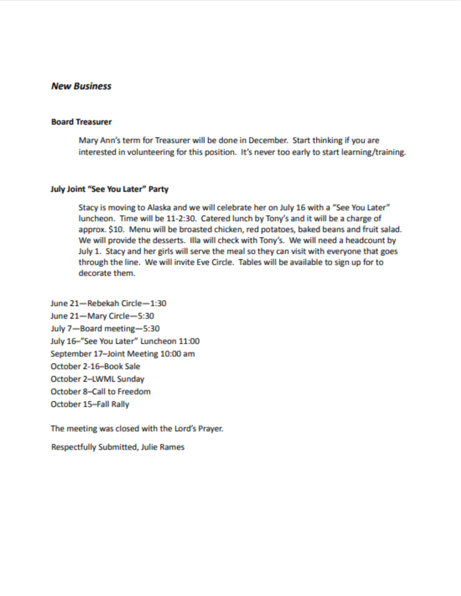# **New Business**

### **Board Treasurer**

Mary Ann's term for Treasurer will be done in December. Start thinking if you are interested in volunteering for this position. It's never too early to start learning/training.

### July Joint "See You Later" Party

Stacy is moving to Alaska and we will celebrate her on July 16 with a "See You Later" luncheon. Time will be 11-2:30. Catered lunch by Tony's and it will be a charge of approx. \$10. Menu will be broasted chicken, red potatoes, baked beans and fruit salad. We will provide the desserts. Illa will check with Tony's. We will need a headcount by July 1. Stacy and her girls will serve the meal so they can visit with everyone that goes through the line. We will invite Eve Circle. Tables will be available to sign up for to decorate them.

June 21-Rebekah Circle-1:30 June 21-Mary Circle-5:30 July 7-Board meeting-5:30 July 16-"See You Later" Luncheon 11:00 September 17-Joint Meeting 10:00 am October 2-16-Book Sale October 2-LWML Sunday October 8-Call to Freedom October 15-Fall Rally

The meeting was closed with the Lord's Prayer.

**Respectfully Submitted, Julie Rames**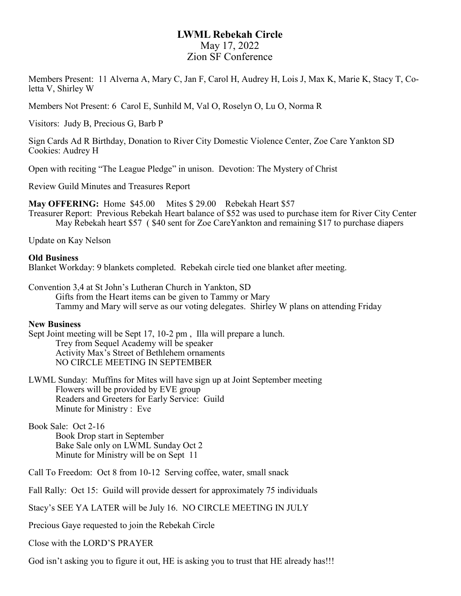# **LWML Rebekah Circle** May 17, 2022 Zion SF Conference

Members Present: 11 Alverna A, Mary C, Jan F, Carol H, Audrey H, Lois J, Max K, Marie K, Stacy T, Coletta V, Shirley W

Members Not Present: 6 Carol E, Sunhild M, Val O, Roselyn O, Lu O, Norma R

Visitors: Judy B, Precious G, Barb P

Sign Cards Ad R Birthday, Donation to River City Domestic Violence Center, Zoe Care Yankton SD Cookies: Audrey H

Open with reciting "The League Pledge" in unison. Devotion: The Mystery of Christ

Review Guild Minutes and Treasures Report

**May OFFERING:** Home \$45.00 Mites \$ 29.00 Rebekah Heart \$57

Treasurer Report: Previous Rebekah Heart balance of \$52 was used to purchase item for River City Center May Rebekah heart \$57 ( \$40 sent for Zoe CareYankton and remaining \$17 to purchase diapers

Update on Kay Nelson

## **Old Business**

Blanket Workday: 9 blankets completed. Rebekah circle tied one blanket after meeting.

Convention 3,4 at St John's Lutheran Church in Yankton, SD Gifts from the Heart items can be given to Tammy or Mary Tammy and Mary will serve as our voting delegates. Shirley W plans on attending Friday

### **New Business**

Sept Joint meeting will be Sept 17, 10-2 pm , Illa will prepare a lunch. Trey from Sequel Academy will be speaker Activity Max's Street of Bethlehem ornaments NO CIRCLE MEETING IN SEPTEMBER

LWML Sunday: Muffins for Mites will have sign up at Joint September meeting Flowers will be provided by EVE group Readers and Greeters for Early Service: Guild Minute for Ministry : Eve

Book Sale: Oct 2-16 Book Drop start in September Bake Sale only on LWML Sunday Oct 2 Minute for Ministry will be on Sept 11

Call To Freedom: Oct 8 from 10-12 Serving coffee, water, small snack

Fall Rally: Oct 15: Guild will provide dessert for approximately 75 individuals

Stacy's SEE YA LATER will be July 16. NO CIRCLE MEETING IN JULY

Precious Gaye requested to join the Rebekah Circle

Close with the LORD'S PRAYER

God isn't asking you to figure it out, HE is asking you to trust that HE already has!!!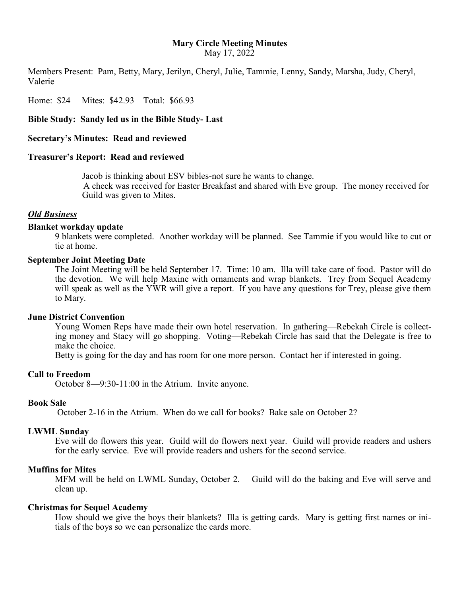# **Mary Circle Meeting Minutes**

May 17, 2022

Members Present: Pam, Betty, Mary, Jerilyn, Cheryl, Julie, Tammie, Lenny, Sandy, Marsha, Judy, Cheryl, Valerie

Home: \$24 Mites: \$42.93 Total: \$66.93

**Bible Study: Sandy led us in the Bible Study- Last**

**Secretary's Minutes: Read and reviewed**

### **Treasurer's Report: Read and reviewed**

Jacob is thinking about ESV bibles-not sure he wants to change. A check was received for Easter Breakfast and shared with Eve group. The money received for Guild was given to Mites.

## *Old Business*

### **Blanket workday update**

9 blankets were completed. Another workday will be planned. See Tammie if you would like to cut or tie at home.

### **September Joint Meeting Date**

The Joint Meeting will be held September 17. Time: 10 am. Illa will take care of food. Pastor will do the devotion. We will help Maxine with ornaments and wrap blankets. Trey from Sequel Academy will speak as well as the YWR will give a report. If you have any questions for Trey, please give them to Mary.

### **June District Convention**

Young Women Reps have made their own hotel reservation. In gathering—Rebekah Circle is collecting money and Stacy will go shopping. Voting—Rebekah Circle has said that the Delegate is free to make the choice.

Betty is going for the day and has room for one more person. Contact her if interested in going.

### **Call to Freedom**

October 8—9:30-11:00 in the Atrium. Invite anyone.

### **Book Sale**

October 2-16 in the Atrium. When do we call for books? Bake sale on October 2?

### **LWML Sunday**

Eve will do flowers this year. Guild will do flowers next year. Guild will provide readers and ushers for the early service. Eve will provide readers and ushers for the second service.

### **Muffins for Mites**

MFM will be held on LWML Sunday, October 2. Guild will do the baking and Eve will serve and clean up.

### **Christmas for Sequel Academy**

How should we give the boys their blankets? Illa is getting cards. Mary is getting first names or initials of the boys so we can personalize the cards more.